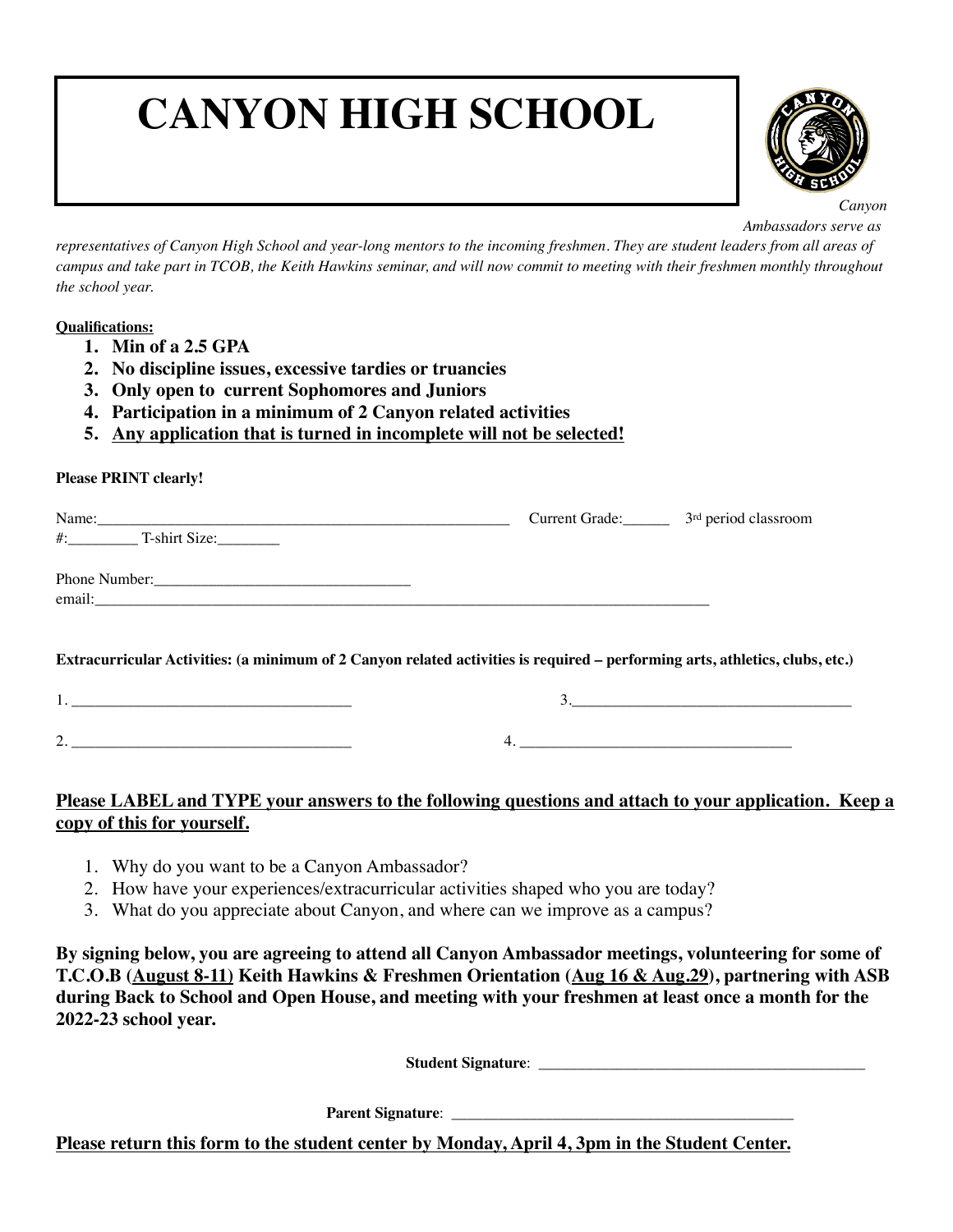# **CANYON HIGH SCHOOL**



*Canyon Ambassadors serve as* 

*representatives of Canyon High School and year-long mentors to the incoming freshmen. They are student leaders from all areas of campus and take part in TCOB, the Keith Hawkins seminar, and will now commit to meeting with their freshmen monthly throughout the school year.* 

#### **Qualifications:**

- **1. Min of a 2.5 GPA**
- **2. No discipline issues, excessive tardies or truancies**
- **3. Only open to current Sophomores and Juniors**
- **4. Participation in a minimum of 2 Canyon related activities**
- **5. Any application that is turned in incomplete will not be selected!**

#### **Please PRINT clearly!**

| Name: Name and the second contract of the second contract of the second contract of the second contract of the second contract of the second contract of the second contract of the second contract of the second contract of | Current Grade: 3 <sup>rd</sup> period classroom |  |
|-------------------------------------------------------------------------------------------------------------------------------------------------------------------------------------------------------------------------------|-------------------------------------------------|--|
| $\#$ : $\qquad \qquad$ T-shirt Size:                                                                                                                                                                                          |                                                 |  |
|                                                                                                                                                                                                                               |                                                 |  |
|                                                                                                                                                                                                                               |                                                 |  |
|                                                                                                                                                                                                                               |                                                 |  |
| Extracurricular Activities: (a minimum of 2 Canyon related activities is required – performing arts, athletics, clubs, etc.)                                                                                                  |                                                 |  |

| <u>.</u> |  |
|----------|--|

## **Please LABEL and TYPE your answers to the following questions and attach to your application. Keep a copy of this for yourself.**

- 1. Why do you want to be a Canyon Ambassador?
- 2. How have your experiences/extracurricular activities shaped who you are today?
- 3. What do you appreciate about Canyon, and where can we improve as a campus?

**By signing below, you are agreeing to attend all Canyon Ambassador meetings, volunteering for some of T.C.O.B (August 8-11) Keith Hawkins & Freshmen Orientation (Aug 16 & Aug.29), partnering with ASB during Back to School and Open House, and meeting with your freshmen at least once a month for the 2022-23 school year.** 

**Student Signature:** 

**Parent Signature**: \_\_\_\_\_\_\_\_\_\_\_\_\_\_\_\_\_\_\_\_\_\_\_\_\_\_\_\_\_\_\_\_\_\_\_\_\_\_\_\_\_\_\_\_

**Please return this form to the student center by Monday, April 4, 3pm in the Student Center.**